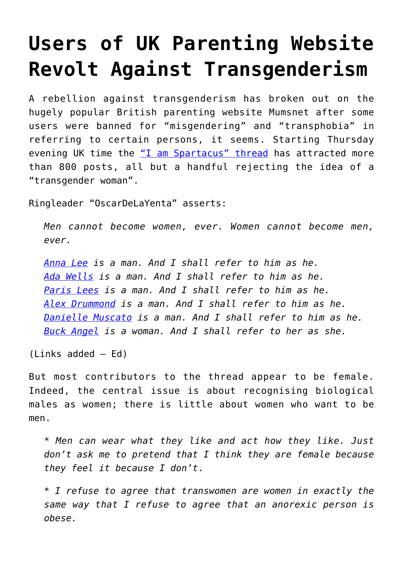## **[Users of UK Parenting Website](https://intellectualtakeout.org/2016/08/users-of-uk-parenting-website-revolt-against-transgenderism/) [Revolt Against Transgenderism](https://intellectualtakeout.org/2016/08/users-of-uk-parenting-website-revolt-against-transgenderism/)**

A rebellion against transgenderism has broken out on the hugely popular British parenting website Mumsnet after some users were banned for "misgendering" and "transphobia" in referring to certain persons, it seems. Starting Thursday evening UK time the ["I am Spartacus" thread](http://www.mumsnet.com/Talk/site_stuff/2716595-TransAgenda-BullShit-The-I-am-Spartacus-Thread) has attracted more than 800 posts, all but a handful rejecting the idea of a "transgender woman".

Ringleader "OscarDeLaYenta" asserts:

*Men cannot become women, ever. Women cannot become men, ever.*

*[Anna Lee](http://ind.pn/1PVrVKY) is a man. And I shall refer to him as he. [Ada Wells](https://transgender.wiki/tag/ada-j-wells/) is a man. And I shall refer to him as he. [Paris Lees](https://en.wikipedia.org/wiki/Paris_Lees) is a man. And I shall refer to him as he. [Alex Drummond](http://www.huffingtonpost.com/entry/meet-the-trans-woman-queering-gender-with-her-full-beard_us_55affb34e4b0a9b948538d24) is a man. And I shall refer to him as he. [Danielle Muscato](https://transgender.wiki/danielle-muscato/) is a man. And I shall refer to him as he. [Buck Angel](https://transgender.wiki/?s=Buck+Angel) is a woman. And I shall refer to her as she.*

(Links added – Ed)

But most contributors to the thread appear to be female. Indeed, the central issue is about recognising biological males as women; there is little about women who want to be men.

*\* Men can wear what they like and act how they like. Just don't ask me to pretend that I think they are female because they feel it because I don't*.

*\* I refuse to agree that transwomen are women in exactly the same way that I refuse to agree that an anorexic person is obese.*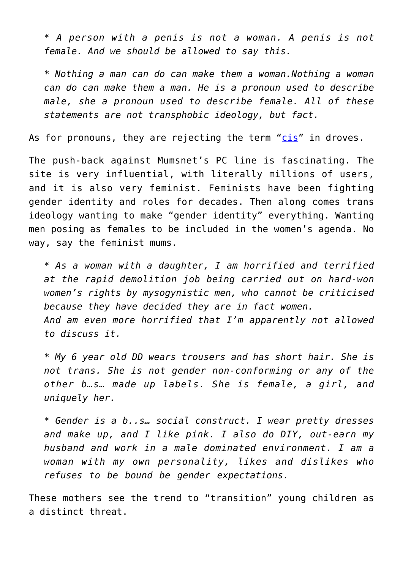*\* A person with a penis is not a woman. A penis is not female. And we should be allowed to say this.*

*\* Nothing a man can do can make them a woman.Nothing a woman can do can make them a man. He is a pronoun used to describe male, she a pronoun used to describe female. All of these statements are not transphobic ideology, but fact.*

As for pronouns, they are rejecting the term ["cis"](https://en.wikipedia.org/wiki/Cisgender) in droves.

The push-back against Mumsnet's PC line is fascinating. The site is very influential, with literally millions of users, and it is also very feminist. Feminists have been fighting gender identity and roles for decades. Then along comes trans ideology wanting to make "gender identity" everything. Wanting men posing as females to be included in the women's agenda. No way, say the feminist mums.

*\* As a woman with a daughter, I am horrified and terrified at the rapid demolition job being carried out on hard-won women's rights by mysogynistic men, who cannot be criticised because they have decided they are in fact women. And am even more horrified that I'm apparently not allowed to discuss it.*

*\* My 6 year old DD wears trousers and has short hair. She is not trans. She is not gender non-conforming or any of the other b…s… made up labels. She is female, a girl, and uniquely her.*

*\* Gender is a b..s… social construct. I wear pretty dresses and make up, and I like pink. I also do DIY, out-earn my husband and work in a male dominated environment. I am a woman with my own personality, likes and dislikes who refuses to be bound be gender expectations.* 

These mothers see the trend to "transition" young children as a distinct threat.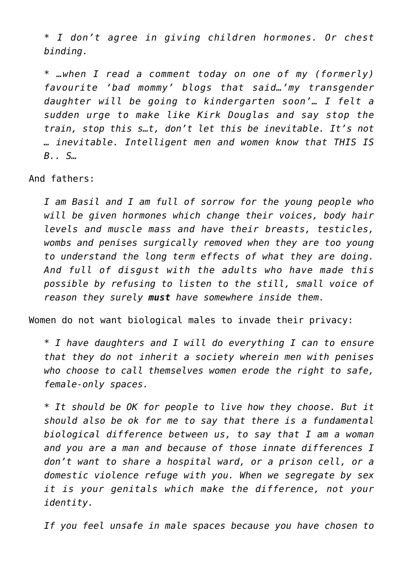*\* I don't agree in giving children hormones. Or chest binding.*

*\* …when I read a comment today on one of my (formerly) favourite 'bad mommy' blogs that said…'my transgender daughter will be going to kindergarten soon'… I felt a sudden urge to make like Kirk Douglas and say stop the train, stop this s…t, don't let this be inevitable. It's not … inevitable. Intelligent men and women know that THIS IS B.. S…*

And fathers:

*I am Basil and I am full of sorrow for the young people who will be given hormones which change their voices, body hair levels and muscle mass and have their breasts, testicles, wombs and penises surgically removed when they are too young to understand the long term effects of what they are doing. And full of disgust with the adults who have made this possible by refusing to listen to the still, small voice of reason they surely must have somewhere inside them.*

Women do not want biological males to invade their privacy:

*\* I have daughters and I will do everything I can to ensure that they do not inherit a society wherein men with penises who choose to call themselves women erode the right to safe, female-only spaces.*

*\* It should be OK for people to live how they choose. But it should also be ok for me to say that there is a fundamental biological difference between us, to say that I am a woman and you are a man and because of those innate differences I don't want to share a hospital ward, or a prison cell, or a domestic violence refuge with you. When we segregate by sex it is your genitals which make the difference, not your identity.*

*If you feel unsafe in male spaces because you have chosen to*